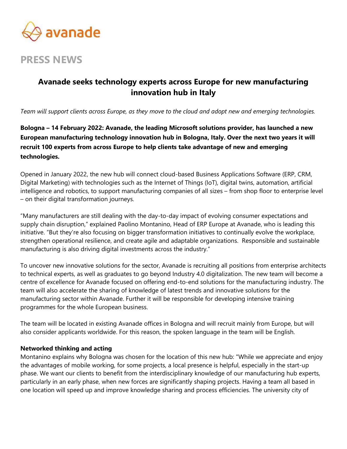

# PRESS NEWS

## Avanade seeks technology experts across Europe for new manufacturing innovation hub in Italy

Team will support clients across Europe, as they move to the cloud and adopt new and emerging technologies.

Bologna – 14 February 2022: Avanade, the leading Microsoft solutions provider, has launched a new European manufacturing technology innovation hub in Bologna, Italy. Over the next two years it will recruit 100 experts from across Europe to help clients take advantage of new and emerging technologies.

Opened in January 2022, the new hub will connect cloud-based Business Applications Software (ERP, CRM, Digital Marketing) with technologies such as the Internet of Things (IoT), digital twins, automation, artificial intelligence and robotics, to support manufacturing companies of all sizes – from shop floor to enterprise level – on their digital transformation journeys.

"Many manufacturers are still dealing with the day-to-day impact of evolving consumer expectations and supply chain disruption," explained Paolino Montanino, Head of ERP Europe at Avanade, who is leading this initiative. "But they're also focusing on bigger transformation initiatives to continually evolve the workplace, strengthen operational resilience, and create agile and adaptable organizations. Responsible and sustainable manufacturing is also driving digital investments across the industry."

To uncover new innovative solutions for the sector, Avanade is recruiting all positions from enterprise architects to technical experts, as well as graduates to go beyond Industry 4.0 digitalization. The new team will become a centre of excellence for Avanade focused on offering end-to-end solutions for the manufacturing industry. The team will also accelerate the sharing of knowledge of latest trends and innovative solutions for the manufacturing sector within Avanade. Further it will be responsible for developing intensive training programmes for the whole European business.

The team will be located in existing Avanade offices in Bologna and will recruit mainly from Europe, but will also consider applicants worldwide. For this reason, the spoken language in the team will be English.

### Networked thinking and acting

Montanino explains why Bologna was chosen for the location of this new hub: "While we appreciate and enjoy the advantages of mobile working, for some projects, a local presence is helpful, especially in the start-up phase. We want our clients to benefit from the interdisciplinary knowledge of our manufacturing hub experts, particularly in an early phase, when new forces are significantly shaping projects. Having a team all based in one location will speed up and improve knowledge sharing and process efficiencies. The university city of